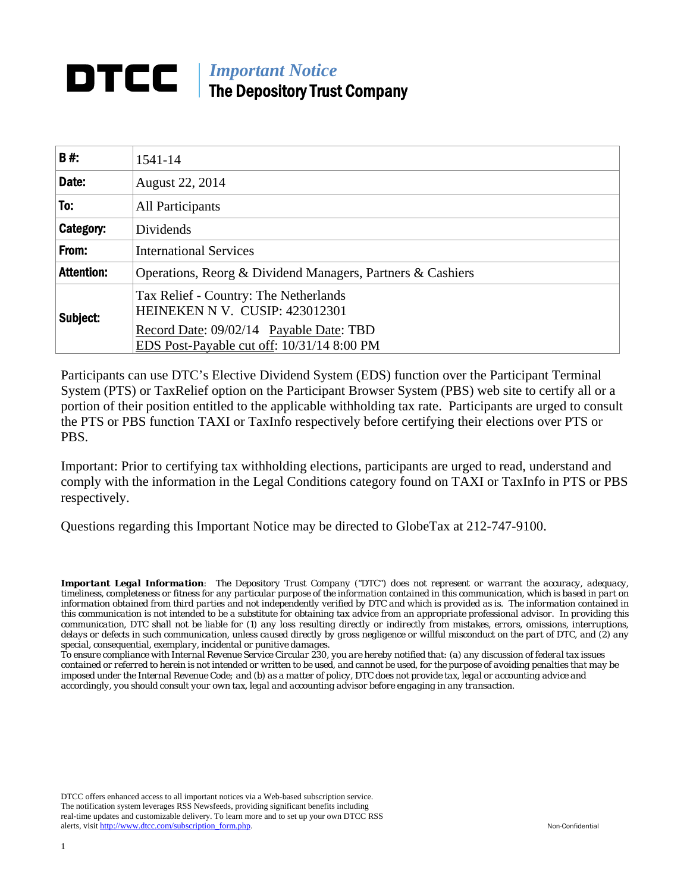## *Important Notice*  The Depository Trust Company

| 1541-14                                                                                                                                                                      |  |
|------------------------------------------------------------------------------------------------------------------------------------------------------------------------------|--|
| August 22, 2014                                                                                                                                                              |  |
| <b>All Participants</b>                                                                                                                                                      |  |
| Dividends                                                                                                                                                                    |  |
| <b>International Services</b>                                                                                                                                                |  |
| Operations, Reorg & Dividend Managers, Partners & Cashiers                                                                                                                   |  |
| Tax Relief - Country: The Netherlands<br>HEINEKEN N V. CUSIP: 423012301<br>Subject:<br>Record Date: 09/02/14 Payable Date: TBD<br>EDS Post-Payable cut off: 10/31/14 8:00 PM |  |
|                                                                                                                                                                              |  |

Participants can use DTC's Elective Dividend System (EDS) function over the Participant Terminal System (PTS) or TaxRelief option on the Participant Browser System (PBS) web site to certify all or a portion of their position entitled to the applicable withholding tax rate. Participants are urged to consult the PTS or PBS function TAXI or TaxInfo respectively before certifying their elections over PTS or PBS.

Important: Prior to certifying tax withholding elections, participants are urged to read, understand and comply with the information in the Legal Conditions category found on TAXI or TaxInfo in PTS or PBS respectively.

Questions regarding this Important Notice may be directed to GlobeTax at 212-747-9100.

*Important Legal Information: The Depository Trust Company ("DTC") does not represent or warrant the accuracy, adequacy, timeliness, completeness or fitness for any particular purpose of the information contained in this communication, which is based in part on information obtained from third parties and not independently verified by DTC and which is provided as is. The information contained in this communication is not intended to be a substitute for obtaining tax advice from an appropriate professional advisor. In providing this communication, DTC shall not be liable for (1) any loss resulting directly or indirectly from mistakes, errors, omissions, interruptions, delays or defects in such communication, unless caused directly by gross negligence or willful misconduct on the part of DTC, and (2) any special, consequential, exemplary, incidental or punitive damages.* 

*To ensure compliance with Internal Revenue Service Circular 230, you are hereby notified that: (a) any discussion of federal tax issues contained or referred to herein is not intended or written to be used, and cannot be used, for the purpose of avoiding penalties that may be imposed under the Internal Revenue Code; and (b) as a matter of policy, DTC does not provide tax, legal or accounting advice and accordingly, you should consult your own tax, legal and accounting advisor before engaging in any transaction.*

DTCC offers enhanced access to all important notices via a Web-based subscription service. The notification system leverages RSS Newsfeeds, providing significant benefits including real-time updates and customizable delivery. To learn more and to set up your own DTCC RSS alerts, visit http://www.dtcc.com/subscription\_form.php. Non-Confidential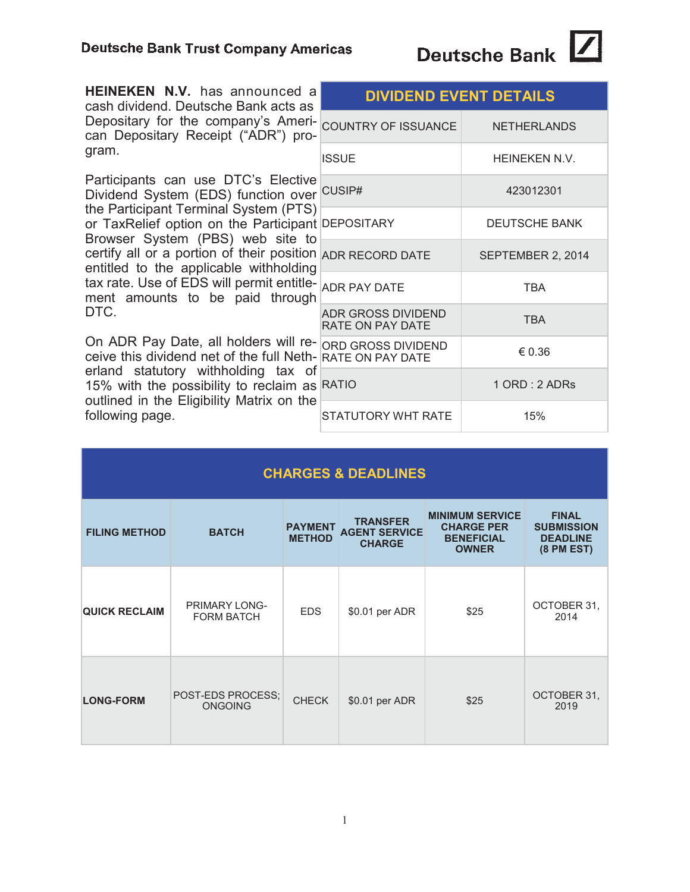| <b>HEINEKEN N.V.</b> has announced a<br>cash dividend. Deutsche Bank acts as<br>Depositary for the company's Ameri-<br>can Depositary Receipt ("ADR") pro-<br>gram.                                                                                                                                                                                                                                                       | <b>DIVIDEND EVENT DETAILS</b>                        |                    |  |
|---------------------------------------------------------------------------------------------------------------------------------------------------------------------------------------------------------------------------------------------------------------------------------------------------------------------------------------------------------------------------------------------------------------------------|------------------------------------------------------|--------------------|--|
|                                                                                                                                                                                                                                                                                                                                                                                                                           | COUNTRY OF ISSUANCE                                  | <b>NETHERLANDS</b> |  |
|                                                                                                                                                                                                                                                                                                                                                                                                                           | <b>ISSUE</b>                                         | HEINEKEN N.V.      |  |
| Participants can use DTC's Elective<br>Dividend System (EDS) function over<br>the Participant Terminal System (PTS)<br>or TaxRelief option on the Participant DEPOSITARY<br>Browser System (PBS) web site to<br>certify all or a portion of their position ADR RECORD DATE<br>entitled to the applicable withholding<br>tax rate. Use of EDS will permit entitle- ADR PAY DATE<br>ment amounts to be paid through<br>DTC. | CUSIP#                                               | 423012301          |  |
|                                                                                                                                                                                                                                                                                                                                                                                                                           |                                                      | DEUTSCHE BANK      |  |
|                                                                                                                                                                                                                                                                                                                                                                                                                           |                                                      | SEPTEMBER 2, 2014  |  |
|                                                                                                                                                                                                                                                                                                                                                                                                                           |                                                      | <b>TBA</b>         |  |
|                                                                                                                                                                                                                                                                                                                                                                                                                           | <b>ADR GROSS DIVIDEND</b><br><b>RATE ON PAY DATE</b> | <b>TBA</b>         |  |
| On ADR Pay Date, all holders will re-<br>ceive this dividend net of the full Neth- RATE ON PAY DATE<br>erland statutory withholding tax of<br>15% with the possibility to reclaim as<br>outlined in the Eligibility Matrix on the<br>following page.                                                                                                                                                                      | ORD GROSS DIVIDEND                                   | € 0.36             |  |
|                                                                                                                                                                                                                                                                                                                                                                                                                           | <b>RATIO</b>                                         | 1 ORD : 2 ADRs     |  |
|                                                                                                                                                                                                                                                                                                                                                                                                                           | STATUTORY WHT RATE                                   | 15%                |  |

Deutsche Bank

| <b>CHARGES &amp; DEADLINES</b> |                                           |                                 |                                                          |                                                                                  |                                                                      |
|--------------------------------|-------------------------------------------|---------------------------------|----------------------------------------------------------|----------------------------------------------------------------------------------|----------------------------------------------------------------------|
| <b>FILING METHOD</b>           | <b>BATCH</b>                              | <b>PAYMENT</b><br><b>METHOD</b> | <b>TRANSFER</b><br><b>AGENT SERVICE</b><br><b>CHARGE</b> | <b>MINIMUM SERVICE</b><br><b>CHARGE PER</b><br><b>BENEFICIAL</b><br><b>OWNER</b> | <b>FINAL</b><br><b>SUBMISSION</b><br><b>DEADLINE</b><br>$(8$ PM EST) |
| <b>QUICK RECLAIM</b>           | <b>PRIMARY LONG-</b><br><b>FORM BATCH</b> | <b>EDS</b>                      | \$0.01 per ADR                                           | \$25                                                                             | OCTOBER 31,<br>2014                                                  |
| <b>LONG-FORM</b>               | POST-EDS PROCESS;<br><b>ONGOING</b>       | <b>CHECK</b>                    | \$0.01 per ADR                                           | \$25                                                                             | OCTOBER 31,<br>2019                                                  |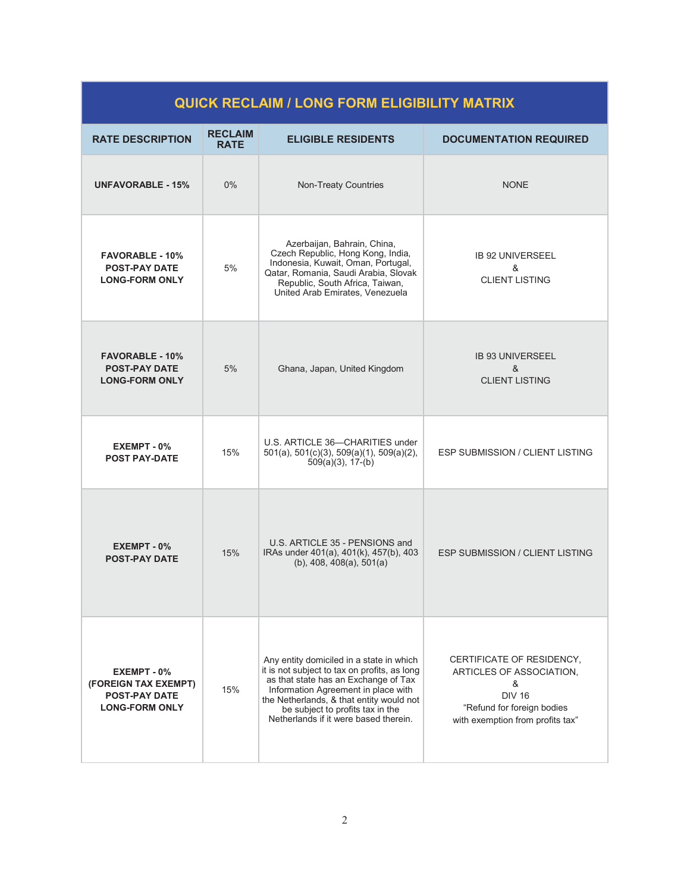| <b>QUICK RECLAIM / LONG FORM ELIGIBILITY MATRIX</b>                                  |                               |                                                                                                                                                                                                                                                                                                  |                                                                                                                                               |
|--------------------------------------------------------------------------------------|-------------------------------|--------------------------------------------------------------------------------------------------------------------------------------------------------------------------------------------------------------------------------------------------------------------------------------------------|-----------------------------------------------------------------------------------------------------------------------------------------------|
| <b>RATE DESCRIPTION</b>                                                              | <b>RECLAIM</b><br><b>RATE</b> | <b>ELIGIBLE RESIDENTS</b>                                                                                                                                                                                                                                                                        | <b>DOCUMENTATION REQUIRED</b>                                                                                                                 |
| <b>UNFAVORABLE - 15%</b>                                                             | $0\%$                         | Non-Treaty Countries                                                                                                                                                                                                                                                                             | <b>NONE</b>                                                                                                                                   |
| <b>FAVORABLE - 10%</b><br><b>POST-PAY DATE</b><br><b>LONG-FORM ONLY</b>              | 5%                            | Azerbaijan, Bahrain, China,<br>Czech Republic, Hong Kong, India,<br>Indonesia, Kuwait, Oman, Portugal,<br>Qatar, Romania, Saudi Arabia, Slovak<br>Republic, South Africa, Taiwan,<br>United Arab Emirates, Venezuela                                                                             | <b>IB 92 UNIVERSEEL</b><br>&<br><b>CLIENT LISTING</b>                                                                                         |
| <b>FAVORABLE - 10%</b><br><b>POST-PAY DATE</b><br><b>LONG-FORM ONLY</b>              | 5%                            | Ghana, Japan, United Kingdom                                                                                                                                                                                                                                                                     | <b>IB 93 UNIVERSEEL</b><br>&<br><b>CLIENT LISTING</b>                                                                                         |
| EXEMPT - 0%<br><b>POST PAY-DATE</b>                                                  | 15%                           | U.S. ARTICLE 36-CHARITIES under<br>$501(a)$ , $501(c)(3)$ , $509(a)(1)$ , $509(a)(2)$ ,<br>$509(a)(3)$ , 17-(b)                                                                                                                                                                                  | <b>ESP SUBMISSION / CLIENT LISTING</b>                                                                                                        |
| $EXEMENT - 0$ %<br><b>POST-PAY DATE</b>                                              | 15%                           | U.S. ARTICLE 35 - PENSIONS and<br>IRAs under 401(a), 401(k), 457(b), 403<br>$(b)$ , 408, 408 $(a)$ , 501 $(a)$                                                                                                                                                                                   | <b>ESP SUBMISSION / CLIENT LISTING</b>                                                                                                        |
| EXEMPT - 0%<br>(FOREIGN TAX EXEMPT)<br><b>POST-PAY DATE</b><br><b>LONG-FORM ONLY</b> | 15%                           | Any entity domiciled in a state in which<br>it is not subject to tax on profits, as long<br>as that state has an Exchange of Tax<br>Information Agreement in place with<br>the Netherlands, & that entity would not<br>be subject to profits tax in the<br>Netherlands if it were based therein. | CERTIFICATE OF RESIDENCY,<br>ARTICLES OF ASSOCIATION.<br>&<br><b>DIV 16</b><br>"Refund for foreign bodies<br>with exemption from profits tax" |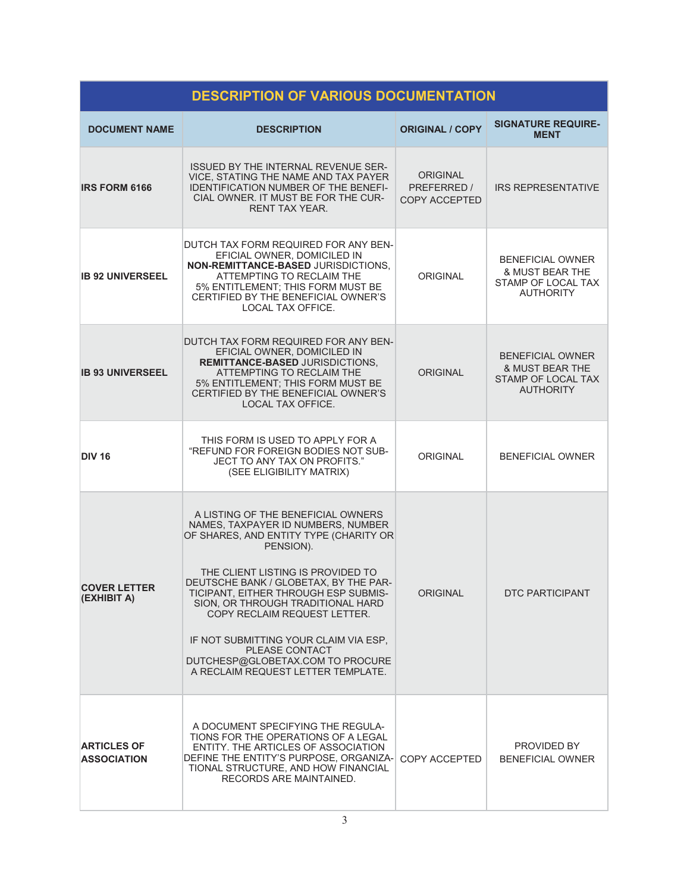| <b>DESCRIPTION OF VARIOUS DOCUMENTATION</b> |                                                                                                                                                                                                                                                                                                                                                                                                                                                                        |                                                 |                                                                                                 |
|---------------------------------------------|------------------------------------------------------------------------------------------------------------------------------------------------------------------------------------------------------------------------------------------------------------------------------------------------------------------------------------------------------------------------------------------------------------------------------------------------------------------------|-------------------------------------------------|-------------------------------------------------------------------------------------------------|
| <b>DOCUMENT NAME</b>                        | <b>DESCRIPTION</b>                                                                                                                                                                                                                                                                                                                                                                                                                                                     | <b>ORIGINAL / COPY</b>                          | <b>SIGNATURE REQUIRE-</b><br><b>MENT</b>                                                        |
| <b>IRS FORM 6166</b>                        | <b>ISSUED BY THE INTERNAL REVENUE SER-</b><br>VICE, STATING THE NAME AND TAX PAYER<br><b>IDENTIFICATION NUMBER OF THE BENEFI-</b><br>CIAL OWNER. IT MUST BE FOR THE CUR-<br><b>RENT TAX YEAR</b>                                                                                                                                                                                                                                                                       | <b>ORIGINAL</b><br>PREFERRED /<br>COPY ACCEPTED | <b>IRS REPRESENTATIVE</b>                                                                       |
| <b>IB 92 UNIVERSEEL</b>                     | DUTCH TAX FORM REQUIRED FOR ANY BEN-<br>EFICIAL OWNER, DOMICILED IN<br>NON-REMITTANCE-BASED JURISDICTIONS,<br>ATTEMPTING TO RECLAIM THE<br>5% ENTITLEMENT; THIS FORM MUST BE<br>CERTIFIED BY THE BENEFICIAL OWNER'S<br>LOCAL TAX OFFICE.                                                                                                                                                                                                                               | <b>ORIGINAL</b>                                 | <b>BENEFICIAL OWNER</b><br>& MUST BEAR THE<br>STAMP OF LOCAL TAX<br><b>AUTHORITY</b>            |
| <b>IB 93 UNIVERSEEL</b>                     | DUTCH TAX FORM REQUIRED FOR ANY BEN-<br>EFICIAL OWNER, DOMICILED IN<br><b>REMITTANCE-BASED JURISDICTIONS.</b><br>ATTEMPTING TO RECLAIM THE<br>5% ENTITLEMENT; THIS FORM MUST BE<br>CERTIFIED BY THE BENEFICIAL OWNER'S<br><b>LOCAL TAX OFFICE.</b>                                                                                                                                                                                                                     | <b>ORIGINAL</b>                                 | <b>BENEFICIAL OWNER</b><br><b>&amp; MUST BEAR THE</b><br>STAMP OF LOCAL TAX<br><b>AUTHORITY</b> |
| <b>DIV 16</b>                               | THIS FORM IS USED TO APPLY FOR A<br>"REFUND FOR FOREIGN BODIES NOT SUB-<br>JECT TO ANY TAX ON PROFITS."<br>(SEE ELIGIBILITY MATRIX)                                                                                                                                                                                                                                                                                                                                    | <b>ORIGINAL</b>                                 | <b>BENEFICIAL OWNER</b>                                                                         |
| <b>COVER LETTER</b><br>(EXHIBIT A)          | A LISTING OF THE BENEFICIAL OWNERS<br>NAMES, TAXPAYER ID NUMBERS, NUMBER<br>OF SHARES, AND ENTITY TYPE (CHARITY OR<br>PENSION).<br>THE CLIENT LISTING IS PROVIDED TO<br>DEUTSCHE BANK / GLOBETAX, BY THE PAR-<br>TICIPANT, EITHER THROUGH ESP SUBMIS-<br>SION, OR THROUGH TRADITIONAL HARD<br>COPY RECLAIM REQUEST LETTER.<br>IF NOT SUBMITTING YOUR CLAIM VIA ESP.<br><b>PLEASE CONTACT</b><br>DUTCHESP@GLOBETAX.COM TO PROCURE<br>A RECLAIM REQUEST LETTER TEMPLATE. | <b>ORIGINAL</b>                                 | DTC PARTICIPANT                                                                                 |
| <b>ARTICLES OF</b><br><b>ASSOCIATION</b>    | A DOCUMENT SPECIFYING THE REGULA-<br>TIONS FOR THE OPERATIONS OF A LEGAL<br>ENTITY. THE ARTICLES OF ASSOCIATION<br>DEFINE THE ENTITY'S PURPOSE, ORGANIZA-<br>TIONAL STRUCTURE, AND HOW FINANCIAL<br>RECORDS ARE MAINTAINED.                                                                                                                                                                                                                                            | COPY ACCEPTED                                   | PROVIDED BY<br>BENEFICIAL OWNER                                                                 |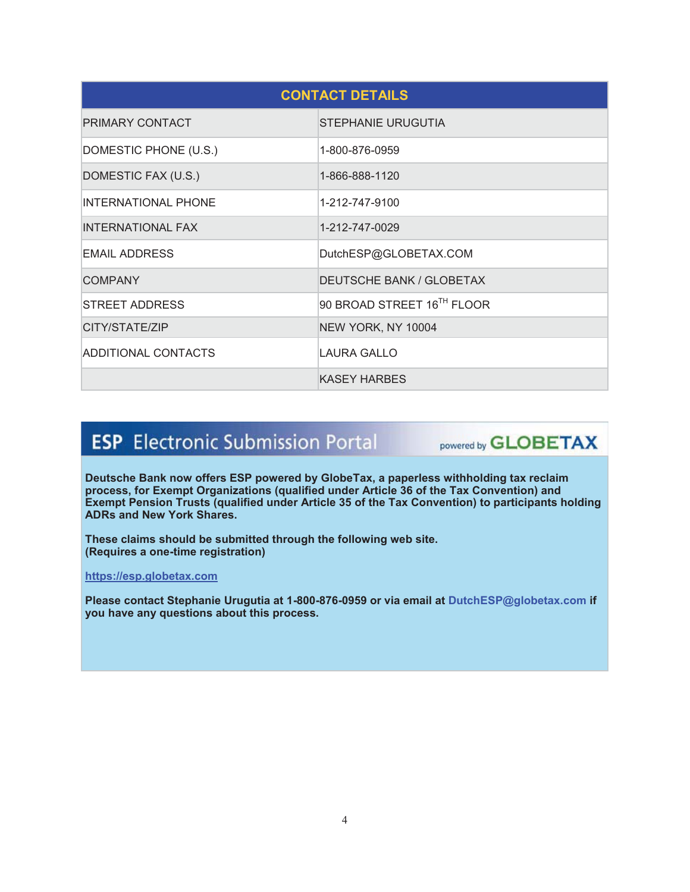| <b>CONTACT DETAILS</b>     |                            |  |
|----------------------------|----------------------------|--|
| <b>PRIMARY CONTACT</b>     | <b>STEPHANIE URUGUTIA</b>  |  |
| DOMESTIC PHONE (U.S.)      | 1-800-876-0959             |  |
| DOMESTIC FAX (U.S.)        | 1-866-888-1120             |  |
| <b>INTERNATIONAL PHONE</b> | 1-212-747-9100             |  |
| <b>INTERNATIONAL FAX</b>   | 1-212-747-0029             |  |
| <b>EMAIL ADDRESS</b>       | DutchESP@GLOBETAX.COM      |  |
| <b>COMPANY</b>             | DEUTSCHE BANK / GLOBETAX   |  |
| STREET ADDRESS             | 90 BROAD STREET 16TH FLOOR |  |
| CITY/STATE/ZIP             | NEW YORK, NY 10004         |  |
| ADDITIONAL CONTACTS        | LAURA GALLO                |  |
|                            | <b>KASEY HARBES</b>        |  |

# **ESP** Electronic Submission Portal

powered by **GLOBETAX** 

**Deutsche Bank now offers ESP powered by GlobeTax, a paperless withholding tax reclaim process, for Exempt Organizations (qualified under Article 36 of the Tax Convention) and Exempt Pension Trusts (qualified under Article 35 of the Tax Convention) to participants holding ADRs and New York Shares.** 

**These claims should be submitted through the following web site. (Requires a one-time registration)** 

**https://esp.globetax.com** 

**Please contact Stephanie Urugutia at 1-800-876-0959 or via email at DutchESP@globetax.com if you have any questions about this process.**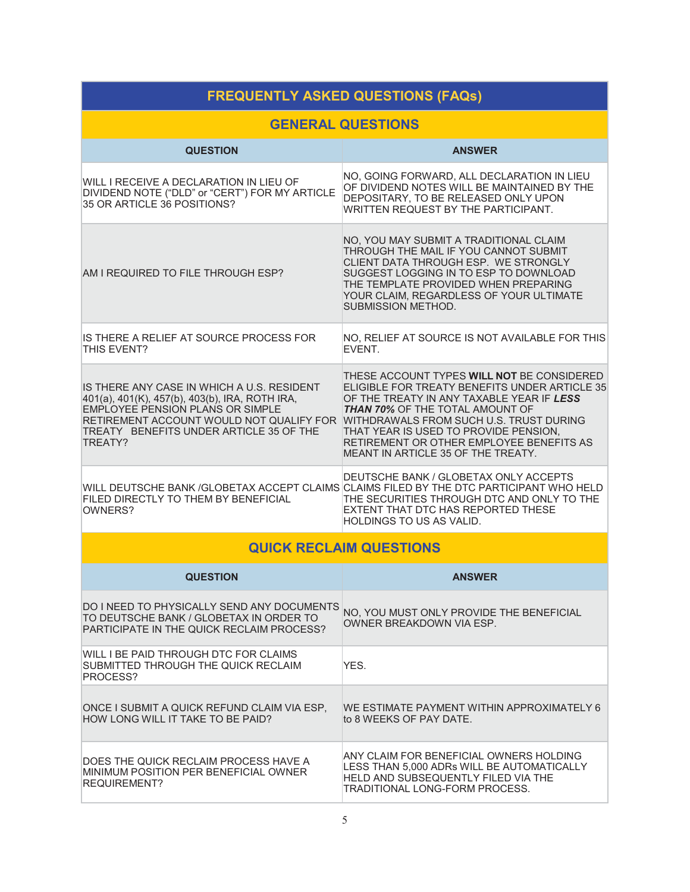| <b>FREQUENTLY ASKED QUESTIONS (FAQs)</b>                                                                                                                                                                                                  |                                                                                                                                                                                                                                                                                                                                                          |  |  |
|-------------------------------------------------------------------------------------------------------------------------------------------------------------------------------------------------------------------------------------------|----------------------------------------------------------------------------------------------------------------------------------------------------------------------------------------------------------------------------------------------------------------------------------------------------------------------------------------------------------|--|--|
| <b>GENERAL QUESTIONS</b>                                                                                                                                                                                                                  |                                                                                                                                                                                                                                                                                                                                                          |  |  |
| <b>QUESTION</b>                                                                                                                                                                                                                           | <b>ANSWER</b>                                                                                                                                                                                                                                                                                                                                            |  |  |
| WILL I RECEIVE A DECLARATION IN LIEU OF<br>DIVIDEND NOTE ("DLD" or "CERT") FOR MY ARTICLE<br>35 OR ARTICLE 36 POSITIONS?                                                                                                                  | NO, GOING FORWARD, ALL DECLARATION IN LIEU<br>OF DIVIDEND NOTES WILL BE MAINTAINED BY THE<br>DEPOSITARY, TO BE RELEASED ONLY UPON<br>WRITTEN REQUEST BY THE PARTICIPANT.                                                                                                                                                                                 |  |  |
| AM I REQUIRED TO FILE THROUGH ESP?                                                                                                                                                                                                        | NO, YOU MAY SUBMIT A TRADITIONAL CLAIM<br>THROUGH THE MAIL IF YOU CANNOT SUBMIT<br>CLIENT DATA THROUGH ESP. WE STRONGLY<br>SUGGEST LOGGING IN TO ESP TO DOWNLOAD<br>THE TEMPLATE PROVIDED WHEN PREPARING<br>YOUR CLAIM, REGARDLESS OF YOUR ULTIMATE<br><b>SUBMISSION METHOD.</b>                                                                         |  |  |
| IS THERE A RELIEF AT SOURCE PROCESS FOR<br>THIS FVFNT?                                                                                                                                                                                    | NO, RELIEF AT SOURCE IS NOT AVAILABLE FOR THIS<br>EVENT.                                                                                                                                                                                                                                                                                                 |  |  |
| IS THERE ANY CASE IN WHICH A U.S. RESIDENT<br>401(a), 401(K), 457(b), 403(b), IRA, ROTH IRA,<br><b>EMPLOYEE PENSION PLANS OR SIMPLE</b><br>RETIREMENT ACCOUNT WOULD NOT QUALIFY FOR<br>TREATY BENEFITS UNDER ARTICLE 35 OF THE<br>TREATY? | THESE ACCOUNT TYPES WILL NOT BE CONSIDERED<br>ELIGIBLE FOR TREATY BENEFITS UNDER ARTICLE 35<br>OF THE TREATY IN ANY TAXABLE YEAR IF LESS<br><b>THAN 70% OF THE TOTAL AMOUNT OF</b><br>WITHDRAWALS FROM SUCH U.S. TRUST DURING<br>THAT YEAR IS USED TO PROVIDE PENSION,<br>RETIREMENT OR OTHER EMPLOYEE BENEFITS AS<br>MEANT IN ARTICLE 35 OF THE TREATY. |  |  |
| FILED DIRECTLY TO THEM BY BENEFICIAL<br>OWNERS?                                                                                                                                                                                           | DEUTSCHE BANK / GLOBETAX ONLY ACCEPTS<br>WILL DEUTSCHE BANK /GLOBETAX ACCEPT CLAIMS CLAIMS FILED BY THE DTC PARTICIPANT WHO HELD<br>THE SECURITIES THROUGH DTC AND ONLY TO THE<br>EXTENT THAT DTC HAS REPORTED THESE<br>HOLDINGS TO US AS VALID.                                                                                                         |  |  |
| <b>QUICK RECLAIM QUESTIONS</b>                                                                                                                                                                                                            |                                                                                                                                                                                                                                                                                                                                                          |  |  |
| <b>QUESTION</b>                                                                                                                                                                                                                           | <b>ANSWER</b>                                                                                                                                                                                                                                                                                                                                            |  |  |
| DO I NEED TO PHYSICALLY SEND ANY DOCUMENTS<br>TO DEUTSCHE BANK / GLOBETAX IN ORDER TO<br>PARTICIPATE IN THE QUICK RECLAIM PROCESS?                                                                                                        | NO, YOU MUST ONLY PROVIDE THE BENEFICIAL<br>OWNER BREAKDOWN VIA ESP.                                                                                                                                                                                                                                                                                     |  |  |
| WILL I BE PAID THROUGH DTC FOR CLAIMS<br>SUBMITTED THROUGH THE QUICK RECLAIM<br>PROCESS?                                                                                                                                                  | YES.                                                                                                                                                                                                                                                                                                                                                     |  |  |
| ONCE I SUBMIT A QUICK REFUND CLAIM VIA ESP,<br>HOW LONG WILL IT TAKE TO BE PAID?                                                                                                                                                          | <u>WE ESTIMATE PAYMENT WITHIN APPROXIMATELY 6</u><br>to 8 WEEKS OF PAY DATE.                                                                                                                                                                                                                                                                             |  |  |
| DOES THE QUICK RECLAIM PROCESS HAVE A                                                                                                                                                                                                     | ANY CLAIM FOR BENEFICIAL OWNERS HOLDING<br>$E C C T U \land U E \land O \land \land D P_{C} \land U \mid U E A U T O M \land T \mid C \mid$                                                                                                                                                                                                              |  |  |

LESS THAN 5,000 ADRs WILL BE AUTOMATICALLY HELD AND SUBSEQUENTLY FILED VIA THE TRADITIONAL LONG-FORM PROCESS.

MINIMUM POSITION PER BENEFICIAL OWNER

REQUIREMENT?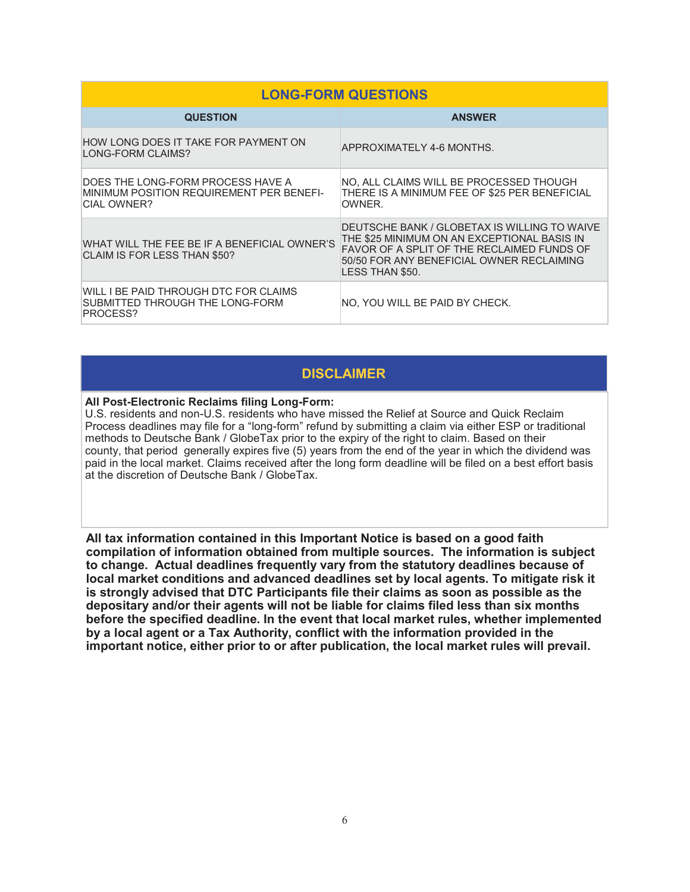| <b>LONG-FORM QUESTIONS</b>                                                                          |                                                                                                                                                                                                           |  |
|-----------------------------------------------------------------------------------------------------|-----------------------------------------------------------------------------------------------------------------------------------------------------------------------------------------------------------|--|
| <b>QUESTION</b>                                                                                     | <b>ANSWER</b>                                                                                                                                                                                             |  |
| HOW LONG DOES IT TAKE FOR PAYMENT ON<br>LONG-FORM CLAIMS?                                           | APPROXIMATELY 4-6 MONTHS.                                                                                                                                                                                 |  |
| DOES THE LONG-FORM PROCESS HAVE A<br>MINIMUM POSITION REQUIREMENT PER BENEFI-<br><b>CIAL OWNER?</b> | NO, ALL CLAIMS WILL BE PROCESSED THOUGH<br>THERE IS A MINIMUM FEE OF \$25 PER BENEFICIAL<br>OWNER.                                                                                                        |  |
| WHAT WILL THE FEE BE IF A BENEFICIAL OWNER'S<br>CLAIM IS FOR LESS THAN \$50?                        | DEUTSCHE BANK / GLOBETAX IS WILLING TO WAIVE<br>THE \$25 MINIMUM ON AN EXCEPTIONAL BASIS IN<br>FAVOR OF A SPLIT OF THE RECLAIMED FUNDS OF<br>50/50 FOR ANY BENEFICIAL OWNER RECLAIMING<br>LESS THAN \$50. |  |
| WILL I BE PAID THROUGH DTC FOR CLAIMS<br>SUBMITTED THROUGH THE LONG-FORM<br>PROCESS?                | NO, YOU WILL BE PAID BY CHECK.                                                                                                                                                                            |  |

### **DISCLAIMER**

#### **All Post-Electronic Reclaims filing Long-Form:**

U.S. residents and non-U.S. residents who have missed the Relief at Source and Quick Reclaim Process deadlines may file for a "long-form" refund by submitting a claim via either ESP or traditional methods to Deutsche Bank / GlobeTax prior to the expiry of the right to claim. Based on their county, that period generally expires five (5) years from the end of the year in which the dividend was paid in the local market. Claims received after the long form deadline will be filed on a best effort basis at the discretion of Deutsche Bank / GlobeTax.

**All tax information contained in this Important Notice is based on a good faith compilation of information obtained from multiple sources. The information is subject to change. Actual deadlines frequently vary from the statutory deadlines because of local market conditions and advanced deadlines set by local agents. To mitigate risk it is strongly advised that DTC Participants file their claims as soon as possible as the depositary and/or their agents will not be liable for claims filed less than six months before the specified deadline. In the event that local market rules, whether implemented by a local agent or a Tax Authority, conflict with the information provided in the important notice, either prior to or after publication, the local market rules will prevail.**